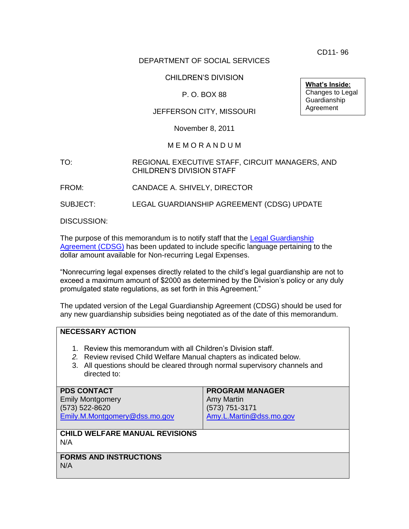CD11- 96

# DEPARTMENT OF SOCIAL SERVICES

# CHILDREN'S DIVISION

# P. O. BOX 88

### JEFFERSON CITY, MISSOURI

November 8, 2011

#### M E M O R A N D U M

#### TO: REGIONAL EXECUTIVE STAFF, CIRCUIT MANAGERS, AND CHILDREN'S DIVISION STAFF

FROM: CANDACE A. SHIVELY, DIRECTOR

SUBJECT: LEGAL GUARDIANSHIP AGREEMENT (CDSG) UPDATE

DISCUSSION:

The purpose of this memorandum is to notify staff that the Legal Guardianship [Agreement \(CDSG\)](http://dss.mo.gov/cd/info/forms/index.htm) has been updated to include specific language pertaining to the dollar amount available for Non-recurring Legal Expenses.

"Nonrecurring legal expenses directly related to the child's legal guardianship are not to exceed a maximum amount of \$2000 as determined by the Division's policy or any duly promulgated state regulations, as set forth in this Agreement."

The updated version of the Legal Guardianship Agreement (CDSG) should be used for any new guardianship subsidies being negotiated as of the date of this memorandum.

# **NECESSARY ACTION**

- 1. Review this memorandum with all Children's Division staff.
- *2.* Review revised Child Welfare Manual chapters as indicated below.
- 3. All questions should be cleared through normal supervisory channels and directed to:

| <b>PDS CONTACT</b><br><b>Emily Montgomery</b><br>(573) 522-8620<br>Emily.M.Montgomery@dss.mo.gov | <b>PROGRAM MANAGER</b><br><b>Amy Martin</b><br>(573) 751-3171<br>Amy.L.Martin@dss.mo.gov |
|--------------------------------------------------------------------------------------------------|------------------------------------------------------------------------------------------|
| <b>CHILD WELFARE MANUAL REVISIONS</b><br>N/A                                                     |                                                                                          |
| <b>FORMS AND INSTRUCTIONS</b><br>N/A                                                             |                                                                                          |

**What's Inside:** Changes to Legal Guardianship Agreement